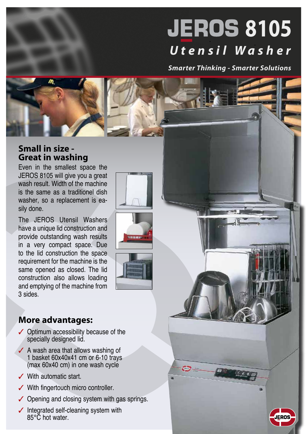## **JEROS 8105** *Utensil Washer*

*Smarter Thinking - Smarter Solutions*

## **Small in size - Great in washing**

Even in the smallest space the JEROS 8105 will give you a great wash result. Width of the machine is the same as a traditionel dish washer, so a replacement is easily done.

The JEROS Utensil Washers have a unique lid construction and provide outstanding wash results in a very compact space. Due to the lid construction the space requirement for the machine is the same opened as closed. The lid construction also allows loading and emptying of the machine from 3 sides.

## **More advantages:**

- $\checkmark$  Optimum accessibility because of the specially designed lid.
- $\angle$  A wash area that allows washing of 1 basket 60x40x41 cm or 6-10 trays (max 60x40 cm) in one wash cycle
- $\checkmark$  With automatic start.
- $\checkmark$  With fingertouch micro controller.
- $\checkmark$  Opening and closing system with gas springs.
- $\checkmark$  Integrated self-cleaning system with 85°C hot water.



œ

**CAST** 

**KOROKOT**